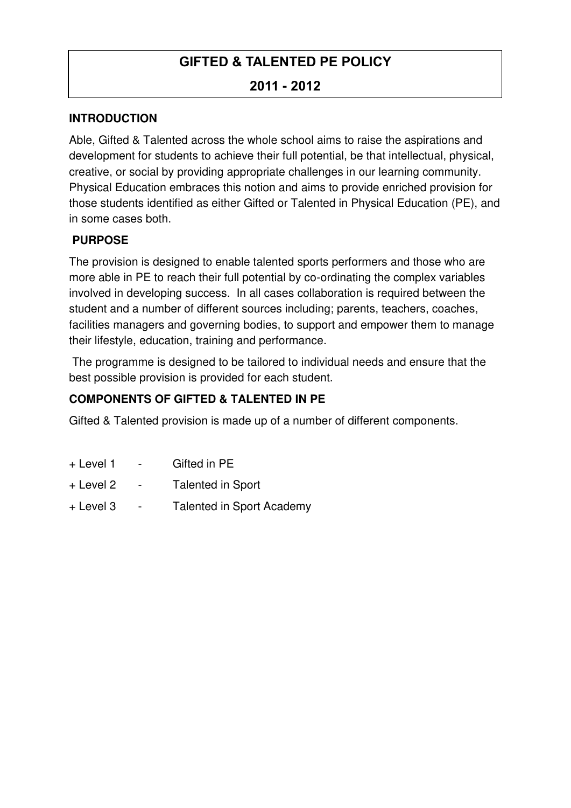## **GIFTED & TALENTED PE POLICY**

## **2011 - 2012**

#### **INTRODUCTION**

Able, Gifted & Talented across the whole school aims to raise the aspirations and development for students to achieve their full potential, be that intellectual, physical, creative, or social by providing appropriate challenges in our learning community. Physical Education embraces this notion and aims to provide enriched provision for those students identified as either Gifted or Talented in Physical Education (PE), and in some cases both.

#### **PURPOSE**

The provision is designed to enable talented sports performers and those who are more able in PE to reach their full potential by co-ordinating the complex variables involved in developing success. In all cases collaboration is required between the student and a number of different sources including; parents, teachers, coaches, facilities managers and governing bodies, to support and empower them to manage their lifestyle, education, training and performance.

 The programme is designed to be tailored to individual needs and ensure that the best possible provision is provided for each student.

## **COMPONENTS OF GIFTED & TALENTED IN PE**

Gifted & Talented provision is made up of a number of different components.

- + Level 1 Gifted in PE
- + Level 2 Talented in Sport
- + Level 3 Talented in Sport Academy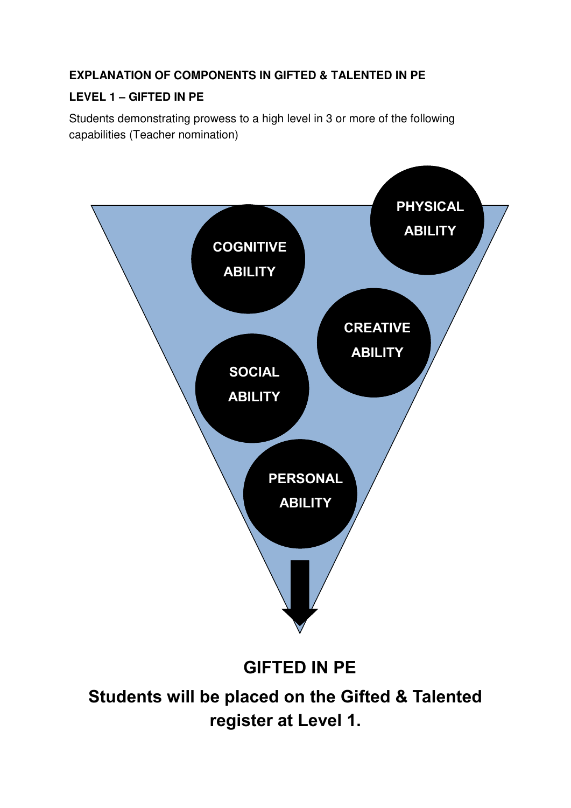## **EXPLANATION OF COMPONENTS IN GIFTED & TALENTED IN PE**

## **LEVEL 1 – GIFTED IN PE**

Students demonstrating prowess to a high level in 3 or more of the following capabilities (Teacher nomination)



 **GIFTED IN PE**

**Students will be placed on the Gifted & Talented register at Level 1.**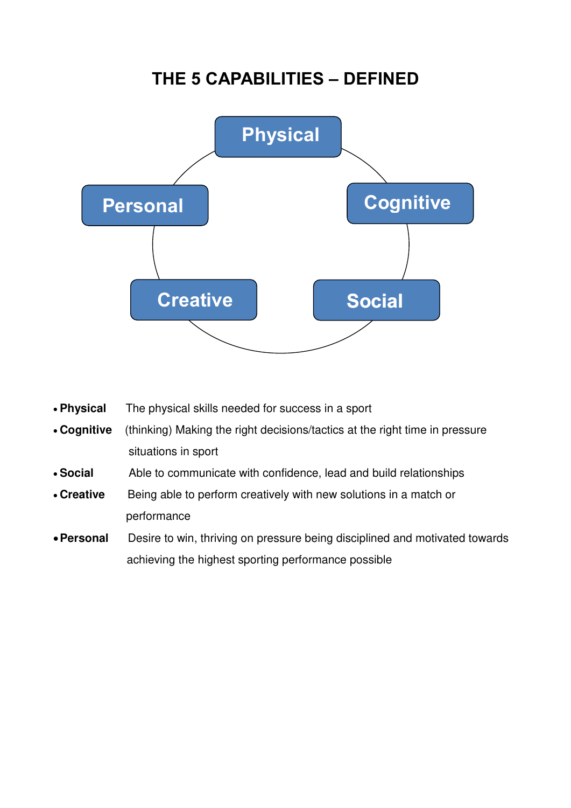## **THE 5 CAPABILITIES – DEFINED**



- **Physical** The physical skills needed for success in a sport
- **Cognitive** (thinking) Making the right decisions/tactics at the right time in pressure situations in sport
- **Social** Able to communicate with confidence, lead and build relationships
- **Creative** Being able to perform creatively with new solutions in a match or performance
- **Personal** Desire to win, thriving on pressure being disciplined and motivated towards achieving the highest sporting performance possible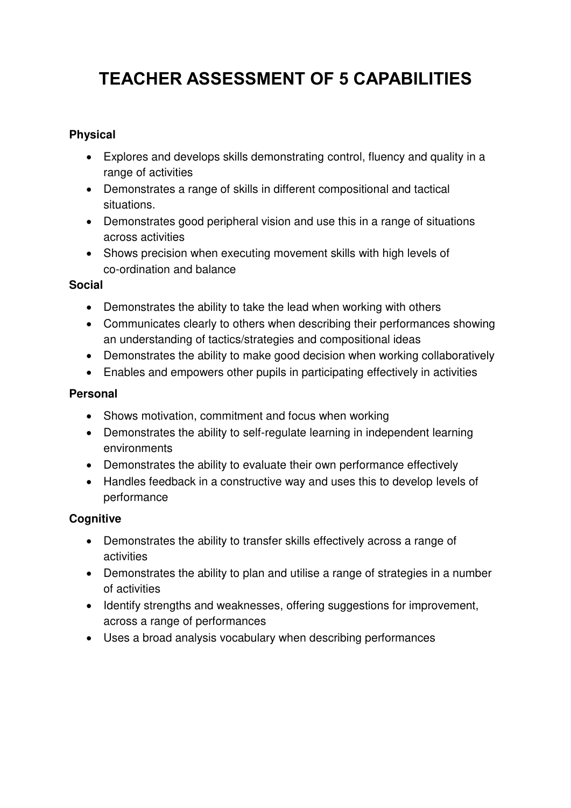# **TEACHER ASSESSMENT OF 5 CAPABILITIES**

#### **Physical**

- Explores and develops skills demonstrating control, fluency and quality in a range of activities
- Demonstrates a range of skills in different compositional and tactical situations.
- Demonstrates good peripheral vision and use this in a range of situations across activities
- Shows precision when executing movement skills with high levels of co-ordination and balance

#### **Social**

- Demonstrates the ability to take the lead when working with others
- Communicates clearly to others when describing their performances showing an understanding of tactics/strategies and compositional ideas
- Demonstrates the ability to make good decision when working collaboratively
- Enables and empowers other pupils in participating effectively in activities

#### **Personal**

- Shows motivation, commitment and focus when working
- Demonstrates the ability to self-regulate learning in independent learning environments
- Demonstrates the ability to evaluate their own performance effectively
- Handles feedback in a constructive way and uses this to develop levels of performance

#### **Cognitive**

- Demonstrates the ability to transfer skills effectively across a range of activities
- Demonstrates the ability to plan and utilise a range of strategies in a number of activities
- Identify strengths and weaknesses, offering suggestions for improvement, across a range of performances
- Uses a broad analysis vocabulary when describing performances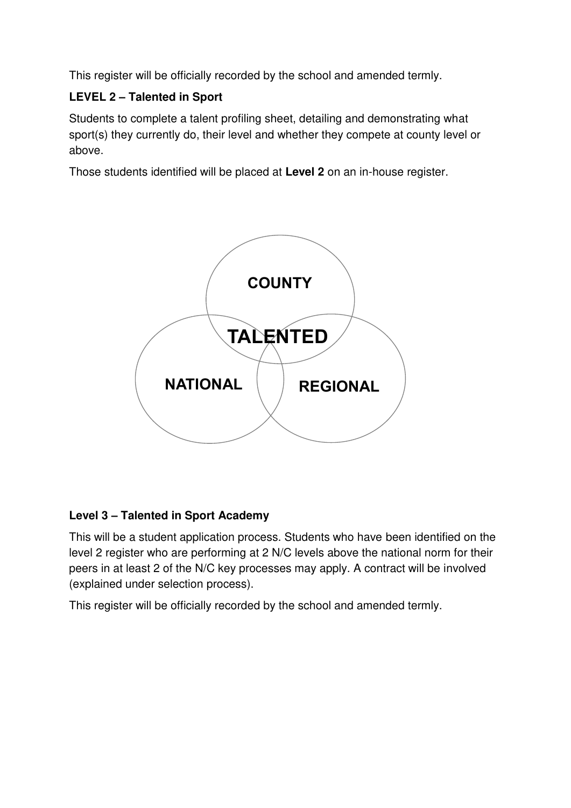This register will be officially recorded by the school and amended termly.

## **LEVEL 2 – Talented in Sport**

Students to complete a talent profiling sheet, detailing and demonstrating what sport(s) they currently do, their level and whether they compete at county level or above.

Those students identified will be placed at **Level 2** on an in-house register.



## **Level 3 – Talented in Sport Academy**

This will be a student application process. Students who have been identified on the level 2 register who are performing at 2 N/C levels above the national norm for their peers in at least 2 of the N/C key processes may apply. A contract will be involved (explained under selection process).

This register will be officially recorded by the school and amended termly.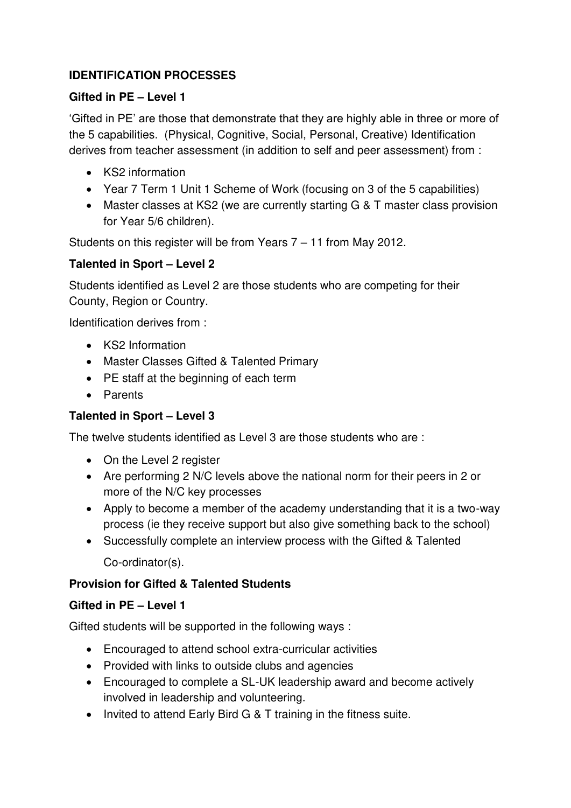## **IDENTIFICATION PROCESSES**

#### **Gifted in PE – Level 1**

'Gifted in PE' are those that demonstrate that they are highly able in three or more of the 5 capabilities. (Physical, Cognitive, Social, Personal, Creative) Identification derives from teacher assessment (in addition to self and peer assessment) from :

- KS2 information
- Year 7 Term 1 Unit 1 Scheme of Work (focusing on 3 of the 5 capabilities)
- Master classes at KS2 (we are currently starting G & T master class provision for Year 5/6 children).

Students on this register will be from Years 7 – 11 from May 2012.

#### **Talented in Sport – Level 2**

Students identified as Level 2 are those students who are competing for their County, Region or Country.

Identification derives from :

- KS2 Information
- Master Classes Gifted & Talented Primary
- PE staff at the beginning of each term
- Parents

#### **Talented in Sport – Level 3**

The twelve students identified as Level 3 are those students who are :

- On the Level 2 register
- Are performing 2 N/C levels above the national norm for their peers in 2 or more of the N/C key processes
- Apply to become a member of the academy understanding that it is a two-way process (ie they receive support but also give something back to the school)
- Successfully complete an interview process with the Gifted & Talented Co-ordinator(s).

#### **Provision for Gifted & Talented Students**

#### **Gifted in PE – Level 1**

Gifted students will be supported in the following ways :

- Encouraged to attend school extra-curricular activities
- Provided with links to outside clubs and agencies
- Encouraged to complete a SL-UK leadership award and become actively involved in leadership and volunteering.
- Invited to attend Early Bird G & T training in the fitness suite.